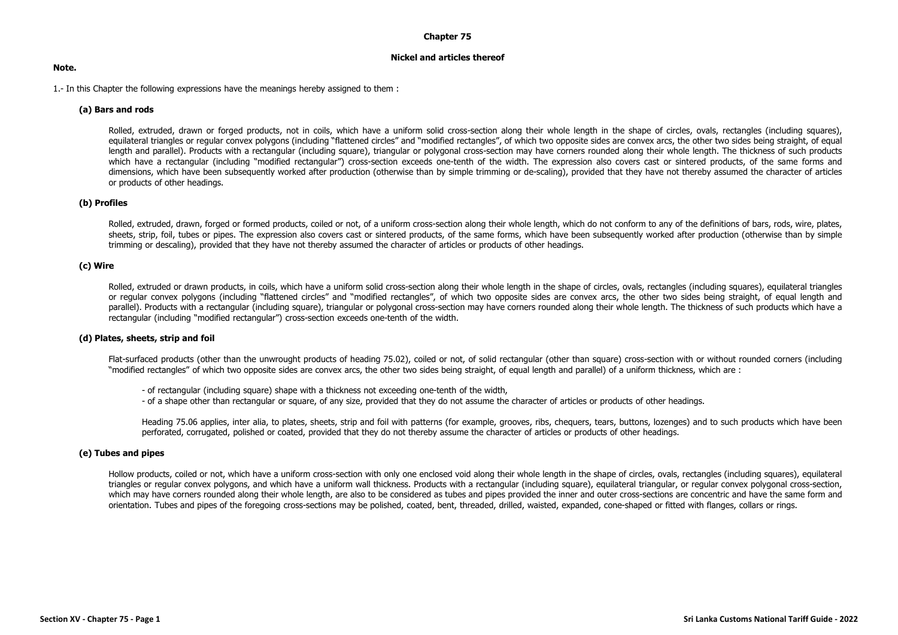#### **Chapter 75**

#### **Nickel and articles thereof**

#### **Note.**

1.- In this Chapter the following expressions have the meanings hereby assigned to them :

### **(a) Bars and rods**

Rolled, extruded, drawn or forged products, not in coils, which have a uniform solid cross-section along their whole length in the shape of circles, ovals, rectangles (including squares), equilateral triangles or regular convex polygons (including "flattened circles" and "modified rectangles", of which two opposite sides are convex arcs, the other two sides being straight, of equal length and parallel). Products with a rectangular (including square), triangular or polygonal cross-section may have corners rounded along their whole length. The thickness of such products which have a rectangular (including "modified rectangular") cross-section exceeds one-tenth of the width. The expression also covers cast or sintered products, of the same forms and dimensions, which have been subsequently worked after production (otherwise than by simple trimming or de-scaling), provided that they have not thereby assumed the character of articles or products of other headings.

#### **(b) Profiles**

Rolled, extruded, drawn, forged or formed products, coiled or not, of a uniform cross-section along their whole length, which do not conform to any of the definitions of bars, rods, wire, plates, sheets, strip, foil, tubes or pipes. The expression also covers cast or sintered products, of the same forms, which have been subsequently worked after production (otherwise than by simple trimming or descaling), provided that they have not thereby assumed the character of articles or products of other headings.

### **(c) Wire**

Rolled, extruded or drawn products, in coils, which have a uniform solid cross-section along their whole length in the shape of circles, ovals, rectangles (including squares), equilateral triangles or regular convex polygons (including "flattened circles" and "modified rectangles", of which two opposite sides are convex arcs, the other two sides being straight, of equal length and parallel). Products with a rectangular (including square), triangular or polygonal cross-section may have corners rounded along their whole length. The thickness of such products which have a rectangular (including "modified rectangular") cross-section exceeds one-tenth of the width.

#### **(d) Plates, sheets, strip and foil**

Flat-surfaced products (other than the unwrought products of heading 75.02), coiled or not, of solid rectangular (other than square) cross-section with or without rounded corners (including "modified rectangles" of which two opposite sides are convex arcs, the other two sides being straight, of equal length and parallel) of a uniform thickness, which are :

- of rectangular (including square) shape with a thickness not exceeding one-tenth of the width,
- of a shape other than rectangular or square, of any size, provided that they do not assume the character of articles or products of other headings.

Heading 75.06 applies, inter alia, to plates, sheets, strip and foil with patterns (for example, grooves, ribs, chequers, tears, buttons, lozenges) and to such products which have been perforated, corrugated, polished or coated, provided that they do not thereby assume the character of articles or products of other headings.

#### **(e) Tubes and pipes**

Hollow products, coiled or not, which have a uniform cross-section with only one enclosed void along their whole length in the shape of circles, ovals, rectangles (including squares), equilateral triangles or regular convex polygons, and which have a uniform wall thickness. Products with a rectangular (including square), equilateral triangular, or regular convex polygonal cross-section, which may have corners rounded along their whole length, are also to be considered as tubes and pipes provided the inner and outer cross-sections are concentric and have the same form and orientation. Tubes and pipes of the foregoing cross-sections may be polished, coated, bent, threaded, drilled, waisted, expanded, cone-shaped or fitted with flanges, collars or rings.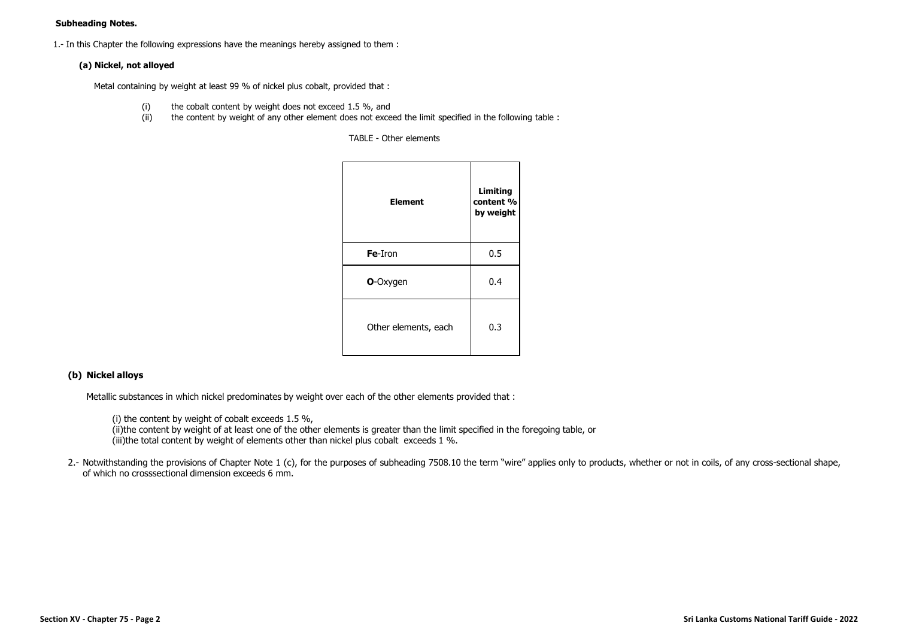## **Subheading Notes.**

1.- In this Chapter the following expressions have the meanings hereby assigned to them :

# **(a) Nickel, not alloyed**

Metal containing by weight at least 99 % of nickel plus cobalt, provided that :

- (i) the cobalt content by weight does not exceed 1.5 %, and
- (ii) the content by weight of any other element does not exceed the limit specified in the following table :

TABLE - Other elements

| <b>Element</b>       | Limiting<br>content %<br>by weight |
|----------------------|------------------------------------|
| Fe-Iron              | 0.5                                |
| <b>O-Oxygen</b>      | 0.4                                |
| Other elements, each | 0.3                                |

# **(b) Nickel alloys**

Metallic substances in which nickel predominates by weight over each of the other elements provided that :

(i) the content by weight of cobalt exceeds 1.5 %,

(ii)the content by weight of at least one of the other elements is greater than the limit specified in the foregoing table, or (iii)the total content by weight of elements other than nickel plus cobalt exceeds 1 %.

2.- Notwithstanding the provisions of Chapter Note 1 (c), for the purposes of subheading 7508.10 the term "wire" applies only to products, whether or not in coils, of any cross-sectional shape, of which no crosssectional dimension exceeds 6 mm.